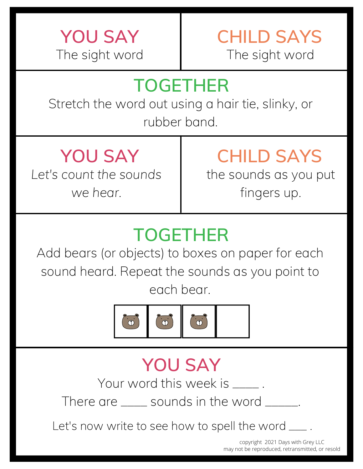

## **TOGETHER**

Stretch the word out using a hair tie, slinky, or rubber band.

*Let's count the sounds we hear.*

# **YOU SAY CHILD SAYS**

the sounds as you put fingers up.

## **TOGETHER**

Add bears (or objects) to boxes on paper for each sound heard. Repeat the sounds as you point to each bear.



## **YOU SAY**

Your word this week is  $\qquad \qquad$ .

There are <u>equenom</u> sounds in the word <u>equal</u>.

Let's now write to see how to spell the word  $\_\_$ .

copyright 2021 Days with Grey LLC may not be reproduced, retransmitted, or resold